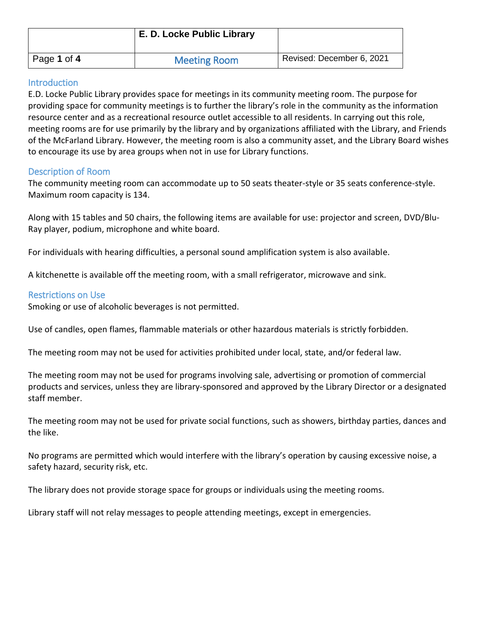|             | E. D. Locke Public Library |                           |
|-------------|----------------------------|---------------------------|
| Page 1 of 4 | <b>Meeting Room</b>        | Revised: December 6, 2021 |

# **Introduction**

E.D. Locke Public Library provides space for meetings in its community meeting room. The purpose for providing space for community meetings is to further the library's role in the community as the information resource center and as a recreational resource outlet accessible to all residents. In carrying out this role, meeting rooms are for use primarily by the library and by organizations affiliated with the Library, and Friends of the McFarland Library. However, the meeting room is also a community asset, and the Library Board wishes to encourage its use by area groups when not in use for Library functions.

### Description of Room

The community meeting room can accommodate up to 50 seats theater-style or 35 seats conference-style. Maximum room capacity is 134.

Along with 15 tables and 50 chairs, the following items are available for use: projector and screen, DVD/Blu-Ray player, podium, microphone and white board.

For individuals with hearing difficulties, a personal sound amplification system is also available.

A kitchenette is available off the meeting room, with a small refrigerator, microwave and sink.

# Restrictions on Use

Smoking or use of alcoholic beverages is not permitted.

Use of candles, open flames, flammable materials or other hazardous materials is strictly forbidden.

The meeting room may not be used for activities prohibited under local, state, and/or federal law.

The meeting room may not be used for programs involving sale, advertising or promotion of commercial products and services, unless they are library-sponsored and approved by the Library Director or a designated staff member.

The meeting room may not be used for private social functions, such as showers, birthday parties, dances and the like.

No programs are permitted which would interfere with the library's operation by causing excessive noise, a safety hazard, security risk, etc.

The library does not provide storage space for groups or individuals using the meeting rooms.

Library staff will not relay messages to people attending meetings, except in emergencies.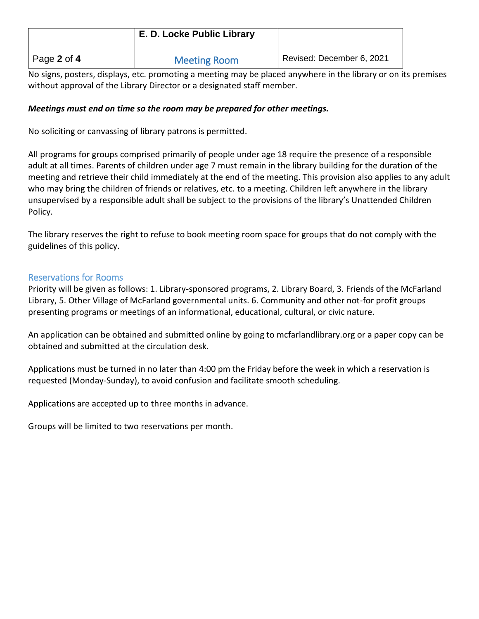|             | E. D. Locke Public Library |                           |
|-------------|----------------------------|---------------------------|
| Page 2 of 4 | <b>Meeting Room</b>        | Revised: December 6, 2021 |

No signs, posters, displays, etc. promoting a meeting may be placed anywhere in the library or on its premises without approval of the Library Director or a designated staff member.

### *Meetings must end on time so the room may be prepared for other meetings.*

No soliciting or canvassing of library patrons is permitted.

All programs for groups comprised primarily of people under age 18 require the presence of a responsible adult at all times. Parents of children under age 7 must remain in the library building for the duration of the meeting and retrieve their child immediately at the end of the meeting. This provision also applies to any adult who may bring the children of friends or relatives, etc. to a meeting. Children left anywhere in the library unsupervised by a responsible adult shall be subject to the provisions of the library's Unattended Children Policy.

The library reserves the right to refuse to book meeting room space for groups that do not comply with the guidelines of this policy.

### Reservations for Rooms

Priority will be given as follows: 1. Library-sponsored programs, 2. Library Board, 3. Friends of the McFarland Library, 5. Other Village of McFarland governmental units. 6. Community and other not-for profit groups presenting programs or meetings of an informational, educational, cultural, or civic nature.

An application can be obtained and submitted online by going to mcfarlandlibrary.org or a paper copy can be obtained and submitted at the circulation desk.

Applications must be turned in no later than 4:00 pm the Friday before the week in which a reservation is requested (Monday-Sunday), to avoid confusion and facilitate smooth scheduling.

Applications are accepted up to three months in advance.

Groups will be limited to two reservations per month.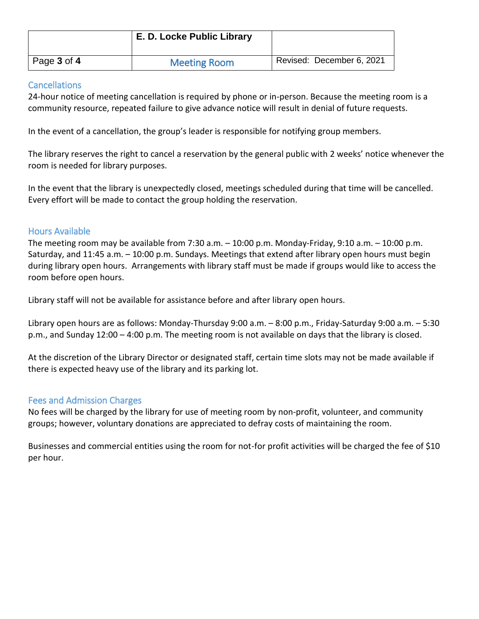|             | E. D. Locke Public Library |                           |
|-------------|----------------------------|---------------------------|
| Page 3 of 4 | <b>Meeting Room</b>        | Revised: December 6, 2021 |

## Cancellations

24-hour notice of meeting cancellation is required by phone or in-person. Because the meeting room is a community resource, repeated failure to give advance notice will result in denial of future requests.

In the event of a cancellation, the group's leader is responsible for notifying group members.

The library reserves the right to cancel a reservation by the general public with 2 weeks' notice whenever the room is needed for library purposes.

In the event that the library is unexpectedly closed, meetings scheduled during that time will be cancelled. Every effort will be made to contact the group holding the reservation.

# Hours Available

The meeting room may be available from 7:30 a.m. – 10:00 p.m. Monday-Friday, 9:10 a.m. – 10:00 p.m. Saturday, and 11:45 a.m. – 10:00 p.m. Sundays. Meetings that extend after library open hours must begin during library open hours. Arrangements with library staff must be made if groups would like to access the room before open hours.

Library staff will not be available for assistance before and after library open hours.

Library open hours are as follows: Monday-Thursday 9:00 a.m. – 8:00 p.m., Friday-Saturday 9:00 a.m. – 5:30 p.m., and Sunday 12:00 – 4:00 p.m. The meeting room is not available on days that the library is closed.

At the discretion of the Library Director or designated staff, certain time slots may not be made available if there is expected heavy use of the library and its parking lot.

# Fees and Admission Charges

No fees will be charged by the library for use of meeting room by non-profit, volunteer, and community groups; however, voluntary donations are appreciated to defray costs of maintaining the room.

Businesses and commercial entities using the room for not-for profit activities will be charged the fee of \$10 per hour.